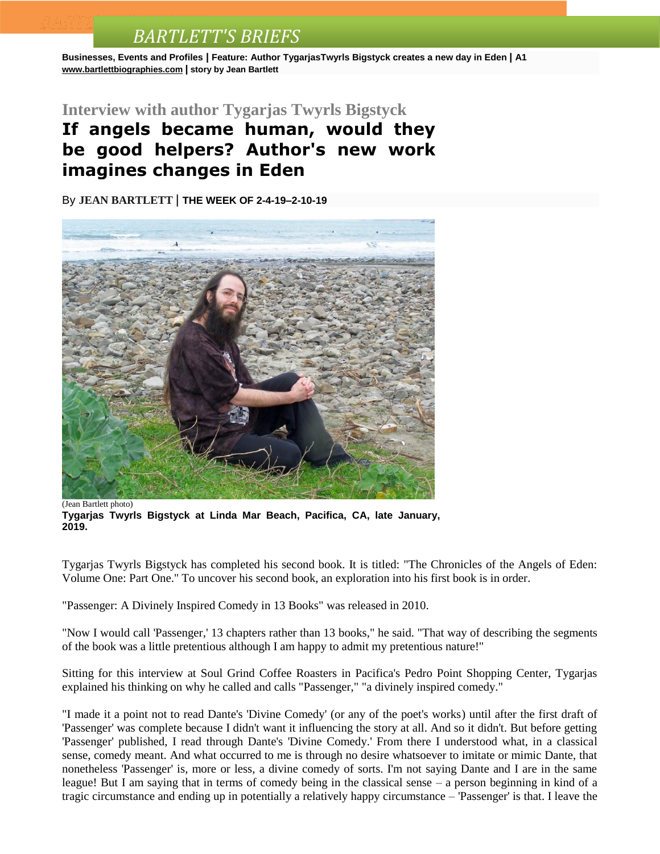**Businesses, Events and Profiles | Feature: Author TygarjasTwyrls Bigstyck creates a new day in Eden | A1 [www.bartlettbiographies.com](http://www.bartlettbiographies.com/) | story by Jean Bartlett**

#### **Interview with author Tygarjas Twyrls Bigstyck**

### **If angels became human, would they be good helpers? Author's new work imagines changes in Eden**

By **JEAN [BARTLETT](http://www.mercurynews.com/author/jean-bartlett/)** | **THE WEEK OF 2-4-19–2-10-19**



(Jean Bartlett photo)

**Tygarjas Twyrls Bigstyck at Linda Mar Beach, Pacifica, CA, late January, 2019.**

Tygarjas Twyrls Bigstyck has completed his second book. It is titled: "The Chronicles of the Angels of Eden: Volume One: Part One." To uncover his second book, an exploration into his first book is in order.

"Passenger: A Divinely Inspired Comedy in 13 Books" was released in 2010.

"Now I would call 'Passenger,' 13 chapters rather than 13 books," he said. "That way of describing the segments of the book was a little pretentious although I am happy to admit my pretentious nature!"

Sitting for this interview at Soul Grind Coffee Roasters in Pacifica's Pedro Point Shopping Center, Tygarjas explained his thinking on why he called and calls "Passenger," "a divinely inspired comedy."

"I made it a point not to read Dante's 'Divine Comedy' (or any of the poet's works) until after the first draft of 'Passenger' was complete because I didn't want it influencing the story at all. And so it didn't. But before getting 'Passenger' published, I read through Dante's 'Divine Comedy.' From there I understood what, in a classical sense, comedy meant. And what occurred to me is through no desire whatsoever to imitate or mimic Dante, that nonetheless 'Passenger' is, more or less, a divine comedy of sorts. I'm not saying Dante and I are in the same league! But I am saying that in terms of comedy being in the classical sense – a person beginning in kind of a tragic circumstance and ending up in potentially a relatively happy circumstance – 'Passenger' is that. I leave the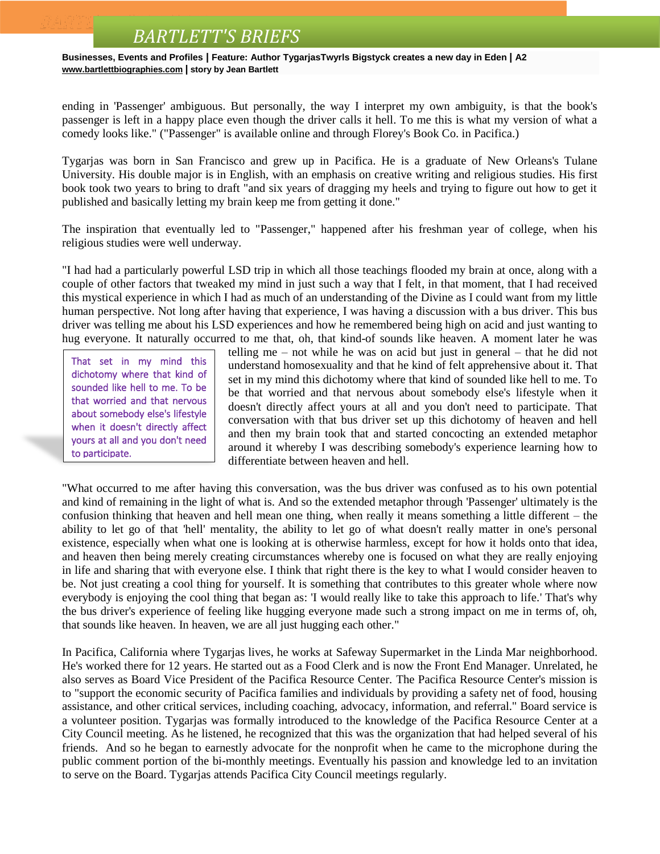**Businesses, Events and Profiles | Feature: Author TygarjasTwyrls Bigstyck creates a new day in Eden | A2 [www.bartlettbiographies.com](http://www.bartlettbiographies.com/) | story by Jean Bartlett**

ending in 'Passenger' ambiguous. But personally, the way I interpret my own ambiguity, is that the book's passenger is left in a happy place even though the driver calls it hell. To me this is what my version of what a comedy looks like." ("Passenger" is available online and through Florey's Book Co. in Pacifica.)

Tygarjas was born in San Francisco and grew up in Pacifica. He is a graduate of New Orleans's Tulane University. His double major is in English, with an emphasis on creative writing and religious studies. His first book took two years to bring to draft "and six years of dragging my heels and trying to figure out how to get it published and basically letting my brain keep me from getting it done."

The inspiration that eventually led to "Passenger," happened after his freshman year of college, when his religious studies were well underway.

"I had had a particularly powerful LSD trip in which all those teachings flooded my brain at once, along with a couple of other factors that tweaked my mind in just such a way that I felt, in that moment, that I had received this mystical experience in which I had as much of an understanding of the Divine as I could want from my little human perspective. Not long after having that experience, I was having a discussion with a bus driver. This bus driver was telling me about his LSD experiences and how he remembered being high on acid and just wanting to hug everyone. It naturally occurred to me that, oh, that kind-of sounds like heaven. A moment later he was

That set in my mind this dichotomy where that kind of sounded like hell to me. To be that worried and that nervous about somebody else's lifestyle when it doesn't directly affect yours at all and you don't need to participate.

telling me – not while he was on acid but just in general – that he did not understand homosexuality and that he kind of felt apprehensive about it. That set in my mind this dichotomy where that kind of sounded like hell to me. To be that worried and that nervous about somebody else's lifestyle when it doesn't directly affect yours at all and you don't need to participate. That conversation with that bus driver set up this dichotomy of heaven and hell and then my brain took that and started concocting an extended metaphor around it whereby I was describing somebody's experience learning how to differentiate between heaven and hell.

"What occurred to me after having this conversation, was the bus driver was confused as to his own potential and kind of remaining in the light of what is. And so the extended metaphor through 'Passenger' ultimately is the confusion thinking that heaven and hell mean one thing, when really it means something a little different – the ability to let go of that 'hell' mentality, the ability to let go of what doesn't really matter in one's personal existence, especially when what one is looking at is otherwise harmless, except for how it holds onto that idea, and heaven then being merely creating circumstances whereby one is focused on what they are really enjoying in life and sharing that with everyone else. I think that right there is the key to what I would consider heaven to be. Not just creating a cool thing for yourself. It is something that contributes to this greater whole where now everybody is enjoying the cool thing that began as: 'I would really like to take this approach to life.' That's why the bus driver's experience of feeling like hugging everyone made such a strong impact on me in terms of, oh, that sounds like heaven. In heaven, we are all just hugging each other."

In Pacifica, California where Tygarjas lives, he works at Safeway Supermarket in the Linda Mar neighborhood. He's worked there for 12 years. He started out as a Food Clerk and is now the Front End Manager. Unrelated, he also serves as Board Vice President of the Pacifica Resource Center. The Pacifica Resource Center's mission is to "support the economic security of Pacifica families and individuals by providing a safety net of food, housing assistance, and other critical services, including coaching, advocacy, information, and referral." Board service is a volunteer position. Tygarjas was formally introduced to the knowledge of the Pacifica Resource Center at a City Council meeting. As he listened, he recognized that this was the organization that had helped several of his friends. And so he began to earnestly advocate for the nonprofit when he came to the microphone during the public comment portion of the bi-monthly meetings. Eventually his passion and knowledge led to an invitation to serve on the Board. Tygarjas attends Pacifica City Council meetings regularly.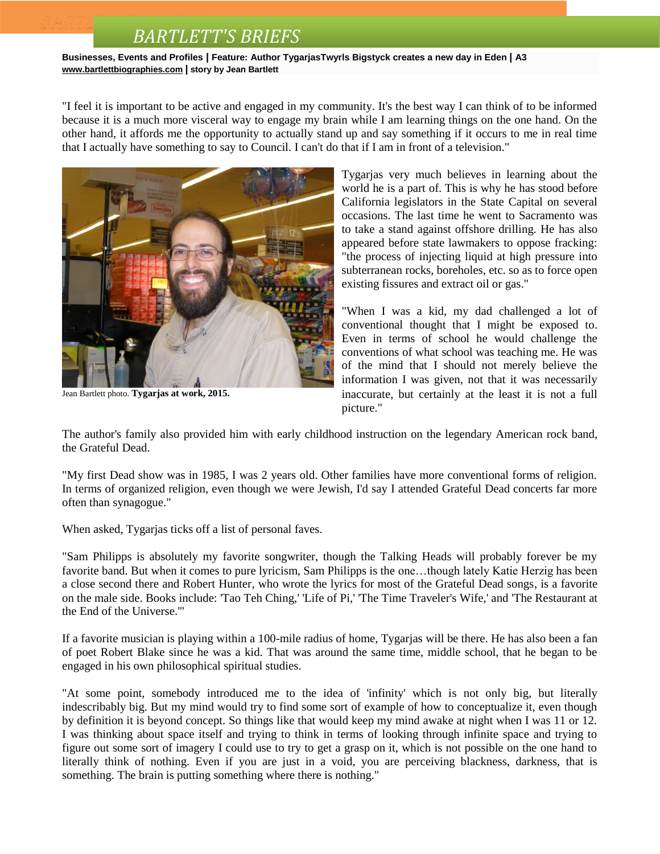**Businesses, Events and Profiles | Feature: Author TygarjasTwyrls Bigstyck creates a new day in Eden | A3 [www.bartlettbiographies.com](http://www.bartlettbiographies.com/) | story by Jean Bartlett**

"I feel it is important to be active and engaged in my community. It's the best way I can think of to be informed because it is a much more visceral way to engage my brain while I am learning things on the one hand. On the other hand, it affords me the opportunity to actually stand up and say something if it occurs to me in real time that I actually have something to say to Council. I can't do that if I am in front of a television."



Jean Bartlett photo. **Tygarjas at work, 2015.**

Tygarjas very much believes in learning about the world he is a part of. This is why he has stood before California legislators in the State Capital on several occasions. The last time he went to Sacramento was to take a stand against offshore drilling. He has also appeared before state lawmakers to oppose fracking: "the process of injecting liquid at high pressure into subterranean rocks, boreholes, etc. so as to force open existing fissures and extract oil or gas."

"When I was a kid, my dad challenged a lot of conventional thought that I might be exposed to. Even in terms of school he would challenge the conventions of what school was teaching me. He was of the mind that I should not merely believe the information I was given, not that it was necessarily inaccurate, but certainly at the least it is not a full picture."

The author's family also provided him with early childhood instruction on the legendary American rock band, the Grateful Dead.

"My first Dead show was in 1985, I was 2 years old. Other families have more conventional forms of religion. In terms of organized religion, even though we were Jewish, I'd say I attended Grateful Dead concerts far more often than synagogue."

When asked, Tygarjas ticks off a list of personal faves.

"Sam Philipps is absolutely my favorite songwriter, though the Talking Heads will probably forever be my favorite band. But when it comes to pure lyricism, Sam Philipps is the one…though lately Katie Herzig has been a close second there and Robert Hunter, who wrote the lyrics for most of the Grateful Dead songs, is a favorite on the male side. Books include: 'Tao Teh Ching,' 'Life of Pi,' 'The Time Traveler's Wife,' and 'The Restaurant at the End of the Universe.'"

If a favorite musician is playing within a 100-mile radius of home, Tygarjas will be there. He has also been a fan of poet Robert Blake since he was a kid. That was around the same time, middle school, that he began to be engaged in his own philosophical spiritual studies.

"At some point, somebody introduced me to the idea of 'infinity' which is not only big, but literally indescribably big. But my mind would try to find some sort of example of how to conceptualize it, even though by definition it is beyond concept. So things like that would keep my mind awake at night when I was 11 or 12. I was thinking about space itself and trying to think in terms of looking through infinite space and trying to figure out some sort of imagery I could use to try to get a grasp on it, which is not possible on the one hand to literally think of nothing. Even if you are just in a void, you are perceiving blackness, darkness, that is something. The brain is putting something where there is nothing."